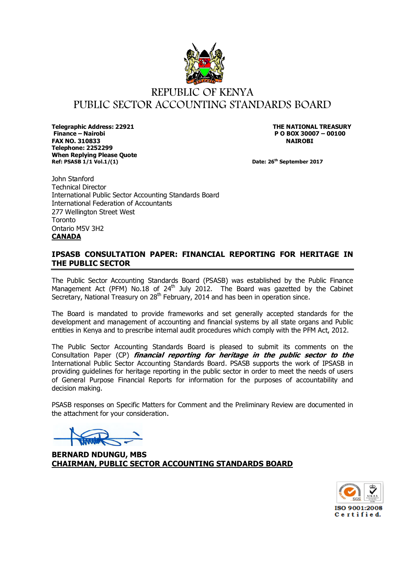

**Telegraphic Address: 22921 THE NATIONAL TREASURY Finance – Nairobi P O BOX 30007 – 00100 FAX NO. 310833 NAIROBI Telephone: 2252299 When Replying Please Quote Ref: PSASB 1/1 Vol.1/(1)** Date: 26<sup>th</sup> September 2017

John Stanford Technical Director International Public Sector Accounting Standards Board International Federation of Accountants 277 Wellington Street West **Toronto** Ontario M5V 3H2 **CANADA**

# **IPSASB CONSULTATION PAPER: FINANCIAL REPORTING FOR HERITAGE IN THE PUBLIC SECTOR**

The Public Sector Accounting Standards Board (PSASB) was established by the Public Finance Management Act (PFM) No.18 of  $24<sup>th</sup>$  July 2012. The Board was gazetted by the Cabinet Secretary, National Treasury on 28<sup>th</sup> February, 2014 and has been in operation since.

The Board is mandated to provide frameworks and set generally accepted standards for the development and management of accounting and financial systems by all state organs and Public entities in Kenya and to prescribe internal audit procedures which comply with the PFM Act, 2012.

The Public Sector Accounting Standards Board is pleased to submit its comments on the Consultation Paper (CP) **financial reporting for heritage in the public sector to the**  International Public Sector Accounting Standards Board. PSASB supports the work of IPSASB in providing guidelines for heritage reporting in the public sector in order to meet the needs of users of General Purpose Financial Reports for information for the purposes of accountability and decision making.

PSASB responses on Specific Matters for Comment and the Preliminary Review are documented in the attachment for your consideration.

**BERNARD NDUNGU, MBS CHAIRMAN, PUBLIC SECTOR ACCOUNTING STANDARDS BOARD**

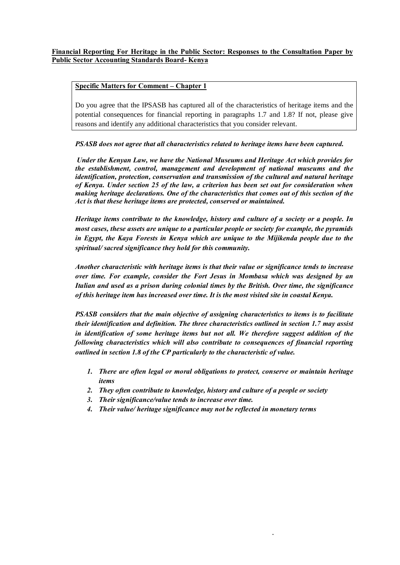#### **Specific Matters for Comment – Chapter 1**

Do you agree that the IPSASB has captured all of the characteristics of heritage items and the potential consequences for financial reporting in paragraphs 1.7 and 1.8? If not, please give reasons and identify any additional characteristics that you consider relevant.

*PSASB does not agree that all characteristics related to heritage items have been captured.*

*Under the Kenyan Law, we have the National Museums and Heritage Act which provides for the establishment, control, management and development of national museums and the identification, protection, conservation and transmission of the cultural and natural heritage of Kenya. Under section 25 of the law, a criterion has been set out for consideration when making heritage declarations. One of the characteristics that comes out of this section of the Act is that these heritage items are protected, conserved or maintained.*

*Heritage items contribute to the knowledge, history and culture of a society or a people. In most cases, these assets are unique to a particular people or society for example, the pyramids in Egypt, the Kaya Forests in Kenya which are unique to the Mijikenda people due to the spiritual/ sacred significance they hold for this community.*

*Another characteristic with heritage items is that their value or significance tends to increase over time. For example, consider the Fort Jesus in Mombasa which was designed by an Italian and used as a prison during colonial times by the British. Over time, the significance of this heritage item has increased over time. It is the most visited site in coastal Kenya.*

*PSASB considers that the main objective of assigning characteristics to items is to facilitate their identification and definition. The three characteristics outlined in section 1.7 may assist in identification of some heritage items but not all. We therefore suggest addition of the following characteristics which will also contribute to consequences of financial reporting outlined in section 1.8 of the CP particularly to the characteristic of value.*

*1. There are often legal or moral obligations to protect, conserve or maintain heritage items*

- *2. They often contribute to knowledge, history and culture of a people or society*
- *3. Their significance/value tends to increase over time.*
- *4. Their value/ heritage significance may not be reflected in monetary terms*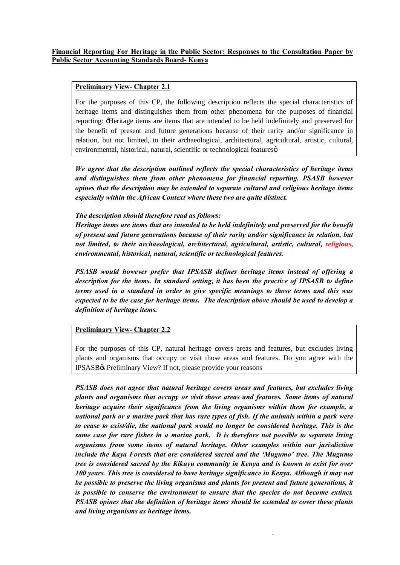#### **Financial Reporting For Heritage in the Public Sector: Responses to the Consultation Paper by Public Sector Accounting Standards Board- Kenya**

#### **Preliminary View- Chapter 2.1**

For the purposes of this CP, the following description reflects the special characteristics of heritage items and distinguishes them from other phenomena for the purposes of financial reporting: 'Heritage items are items that are intended to be held indefinitely and preserved for the benefit of present and future generations because of their rarity and/or significance in relation, but not limited, to their archaeological, architectural, agricultural, artistic, cultural, environmental, historical, natural, scientific or technological features  $\varphi$ 

*We agree that the description outlined reflects the special characteristics of heritage items and distinguishes them from other phenomena for financial reporting. PSASB however opines that the description may be extended to separate cultural and religious heritage items especially within the African Context where these two are quite distinct.* 

#### *The description should therefore read as follows:*

*Heritage items are items that are intended to be held indefinitely and preserved for the benefit of present and future generations because of their rarity and/or significance in relation, but not limited, to their archaeological, architectural, agricultural, artistic, cultural, religious, environmental, historical, natural, scientific or technological features.*

*PSASB would however prefer that IPSASB defines heritage items instead of offering a description for the items. In standard setting, it has been the practice of IPSASB to define terms used in a standard in order to give specific meanings to those terms and this was expected to be the case for heritage items. The description above should be used to develop a definition of heritage items.*

## **Preliminary View- Chapter 2.2**

For the purposes of this CP, natural heritage covers areas and features, but excludes living plants and organisms that occupy or visit those areas and features. Do you agree with the IPSASB's Preliminary View? If not, please provide your reasons

*PSASB does not agree that natural heritage covers areas and features, but excludes living plants and organisms that occupy or visit those areas and features. Some items of natural heritage acquire their significance from the living organisms within them for example, a national park or a marine park that has rare types of fish. If the animals within a park were to cease to exist/die, the national park would no longer be considered heritage. This is the same case for rare fishes in a marine park. It is therefore not possible to separate living organisms from some items of natural heritage. Other examples within our jurisdiction include the Kaya Forests that are considered sacred and the 'Mugumo' tree. The Mugumo tree is considered sacred by the Kikuyu community in Kenya and is known to exist for over 100 years. This tree is considered to have heritage significance in Kenya. Although it may not be possible to preserve the living organisms and plants for present and future generations, it is possible to conserve the environment to ensure that the species do not become extinct. PSASB opines that the definition of heritage items should be extended to cover these plants and living organisms as heritage items.*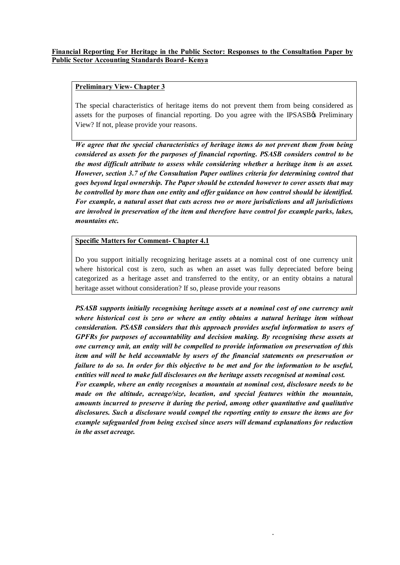## **Preliminary View- Chapter 3**

The special characteristics of heritage items do not prevent them from being considered as assets for the purposes of financial reporting. Do you agree with the IPSASB $\alpha$  Preliminary View? If not, please provide your reasons.

*We agree that the special characteristics of heritage items do not prevent them from being considered as assets for the purposes of financial reporting. PSASB considers control to be the most difficult attribute to assess while considering whether a heritage item is an asset. However, section 3.7 of the Consultation Paper outlines criteria for determining control that goes beyond legal ownership. The Paper should be extended however to cover assets that may be controlled by more than one entity and offer guidance on how control should be identified. For example, a natural asset that cuts across two or more jurisdictions and all jurisdictions are involved in preservation of the item and therefore have control for example parks, lakes, mountains etc.*

## **Specific Matters for Comment- Chapter 4.1**

Do you support initially recognizing heritage assets at a nominal cost of one currency unit where historical cost is zero, such as when an asset was fully depreciated before being categorized as a heritage asset and transferred to the entity, or an entity obtains a natural heritage asset without consideration? If so, please provide your reasons

*PSASB supports initially recognising heritage assets at a nominal cost of one currency unit where historical cost is zero or where an entity obtains a natural heritage item without consideration. PSASB considers that this approach provides useful information to users of GPFRs for purposes of accountability and decision making. By recognising these assets at one currency unit, an entity will be compelled to provide information on preservation of this item and will be held accountable by users of the financial statements on preservation or failure to do so. In order for this objective to be met and for the information to be useful, entities will need to make full disclosures on the heritage assets recognised at nominal cost. For example, where an entity recognises a mountain at nominal cost, disclosure needs to be made on the altitude, acreage/size, location, and special features within the mountain, amounts incurred to preserve it during the period, among other quantitative and qualitative disclosures. Such a disclosure would compel the reporting entity to ensure the items are for example safeguarded from being excised since users will demand explanations for reduction in the asset acreage.*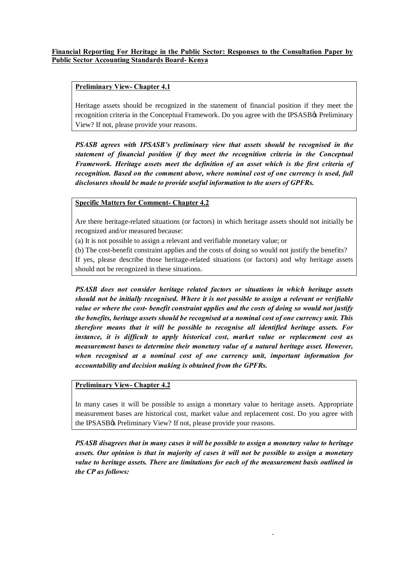## **Preliminary View- Chapter 4.1**

Heritage assets should be recognized in the statement of financial position if they meet the recognition criteria in the Conceptual Framework. Do you agree with the IPSASB's Preliminary View? If not, please provide your reasons.

*PSASB agrees with IPSASB's preliminary view that assets should be recognised in the statement of financial position if they meet the recognition criteria in the Conceptual Framework. Heritage assets meet the definition of an asset which is the first criteria of recognition. Based on the comment above, where nominal cost of one currency is used, full disclosures should be made to provide useful information to the users of GPFRs.*

## **Specific Matters for Comment- Chapter 4.2**

Are there heritage-related situations (or factors) in which heritage assets should not initially be recognized and/or measured because:

- (a) It is not possible to assign a relevant and verifiable monetary value; or
- (b) The cost-benefit constraint applies and the costs of doing so would not justify the benefits?

If yes, please describe those heritage-related situations (or factors) and why heritage assets should not be recognized in these situations.

*PSASB does not consider heritage related factors or situations in which heritage assets should not be initially recognised. Where it is not possible to assign a relevant or verifiable value or where the cost- benefit constraint applies and the costs of doing so would not justify the benefits, heritage assets should be recognised at a nominal cost of one currency unit. This therefore means that it will be possible to recognise all identified heritage assets. For instance, it is difficult to apply historical cost, market value or replacement cost as measurement bases to determine their monetary value of a natural heritage asset. However, when recognised at a nominal cost of one currency unit, important information for accountability and decision making is obtained from the GPFRs.*

## **Preliminary View- Chapter 4.2**

In many cases it will be possible to assign a monetary value to heritage assets. Appropriate measurement bases are historical cost, market value and replacement cost. Do you agree with the IPSASB<sub>%</sub> Preliminary View? If not, please provide your reasons.

*PSASB disagrees that in many cases it will be possible to assign a monetary value to heritage assets. Our opinion is that in majority of cases it will not be possible to assign a monetary value to heritage assets. There are limitations for each of the measurement basis outlined in the CP as follows:*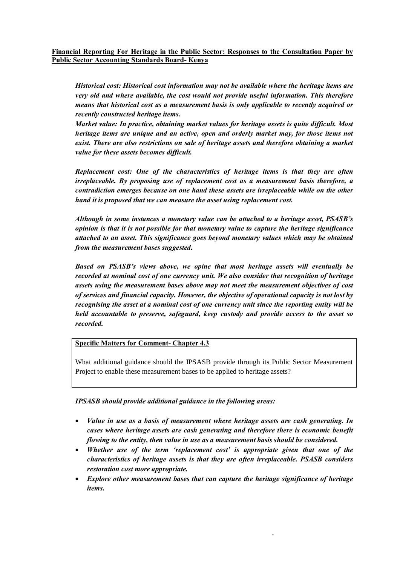#### **Financial Reporting For Heritage in the Public Sector: Responses to the Consultation Paper by Public Sector Accounting Standards Board- Kenya**

*Historical cost: Historical cost information may not be available where the heritage items are very old and where available, the cost would not provide useful information. This therefore means that historical cost as a measurement basis is only applicable to recently acquired or recently constructed heritage items.*

*Market value: In practice, obtaining market values for heritage assets is quite difficult. Most heritage items are unique and an active, open and orderly market may, for those items not exist. There are also restrictions on sale of heritage assets and therefore obtaining a market value for these assets becomes difficult.*

*Replacement cost: One of the characteristics of heritage items is that they are often irreplaceable. By proposing use of replacement cost as a measurement basis therefore, a contradiction emerges because on one hand these assets are irreplaceable while on the other hand it is proposed that we can measure the asset using replacement cost.*

*Although in some instances a monetary value can be attached to a heritage asset, PSASB's opinion is that it is not possible for that monetary value to capture the heritage significance attached to an asset. This significance goes beyond monetary values which may be obtained from the measurement bases suggested.*

*Based on PSASB's views above, we opine that most heritage assets will eventually be recorded at nominal cost of one currency unit. We also consider that recognition of heritage assets using the measurement bases above may not meet the measurement objectives of cost of services and financial capacity. However, the objective of operational capacity is not lost by recognising the asset at a nominal cost of one currency unit since the reporting entity will be held accountable to preserve, safeguard, keep custody and provide access to the asset so recorded.*

#### **Specific Matters for Comment- Chapter 4.3**

What additional guidance should the IPSASB provide through its Public Sector Measurement Project to enable these measurement bases to be applied to heritage assets?

*IPSASB should provide additional guidance in the following areas:*

- · *Value in use as a basis of measurement where heritage assets are cash generating. In cases where heritage assets are cash generating and therefore there is economic benefit flowing to the entity, then value in use as a measurement basis should be considered.*
- · *Whether use of the term 'replacement cost' is appropriate given that one of the characteristics of heritage assets is that they are often irreplaceable. PSASB considers restoration cost more appropriate.*
- · *Explore other measurement bases that can capture the heritage significance of heritage items.*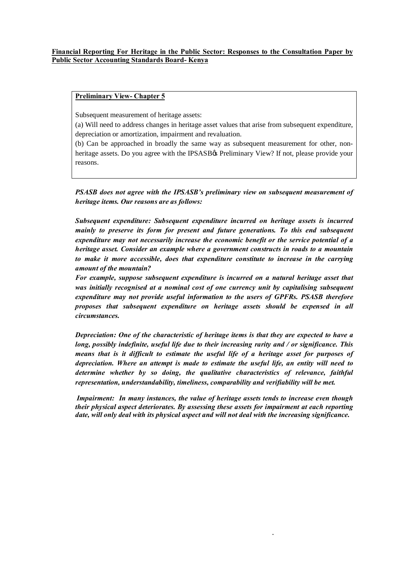#### **Financial Reporting For Heritage in the Public Sector: Responses to the Consultation Paper by Public Sector Accounting Standards Board- Kenya**

#### **Preliminary View- Chapter 5**

Subsequent measurement of heritage assets:

(a) Will need to address changes in heritage asset values that arise from subsequent expenditure, depreciation or amortization, impairment and revaluation.

(b) Can be approached in broadly the same way as subsequent measurement for other, nonheritage assets. Do you agree with the IPSASB $\alpha$  Preliminary View? If not, please provide your reasons.

*PSASB does not agree with the IPSASB's preliminary view on subsequent measurement of heritage items. Our reasons are as follows:*

*Subsequent expenditure: Subsequent expenditure incurred on heritage assets is incurred mainly to preserve its form for present and future generations. To this end subsequent expenditure may not necessarily increase the economic benefit or the service potential of a heritage asset. Consider an example where a government constructs in roads to a mountain to make it more accessible, does that expenditure constitute to increase in the carrying amount of the mountain?*

*For example, suppose subsequent expenditure is incurred on a natural heritage asset that was initially recognised at a nominal cost of one currency unit by capitalising subsequent expenditure may not provide useful information to the users of GPFRs. PSASB therefore proposes that subsequent expenditure on heritage assets should be expensed in all circumstances.*

*Depreciation: One of the characteristic of heritage items is that they are expected to have a long, possibly indefinite, useful life due to their increasing rarity and / or significance. This means that is it difficult to estimate the useful life of a heritage asset for purposes of depreciation. Where an attempt is made to estimate the useful life, an entity will need to determine whether by so doing, the qualitative characteristics of relevance, faithful representation, understandability, timeliness, comparability and verifiability will be met.*

*Impairment: In many instances, the value of heritage assets tends to increase even though their physical aspect deteriorates. By assessing these assets for impairment at each reporting date, will only deal with its physical aspect and will not deal with the increasing significance.*